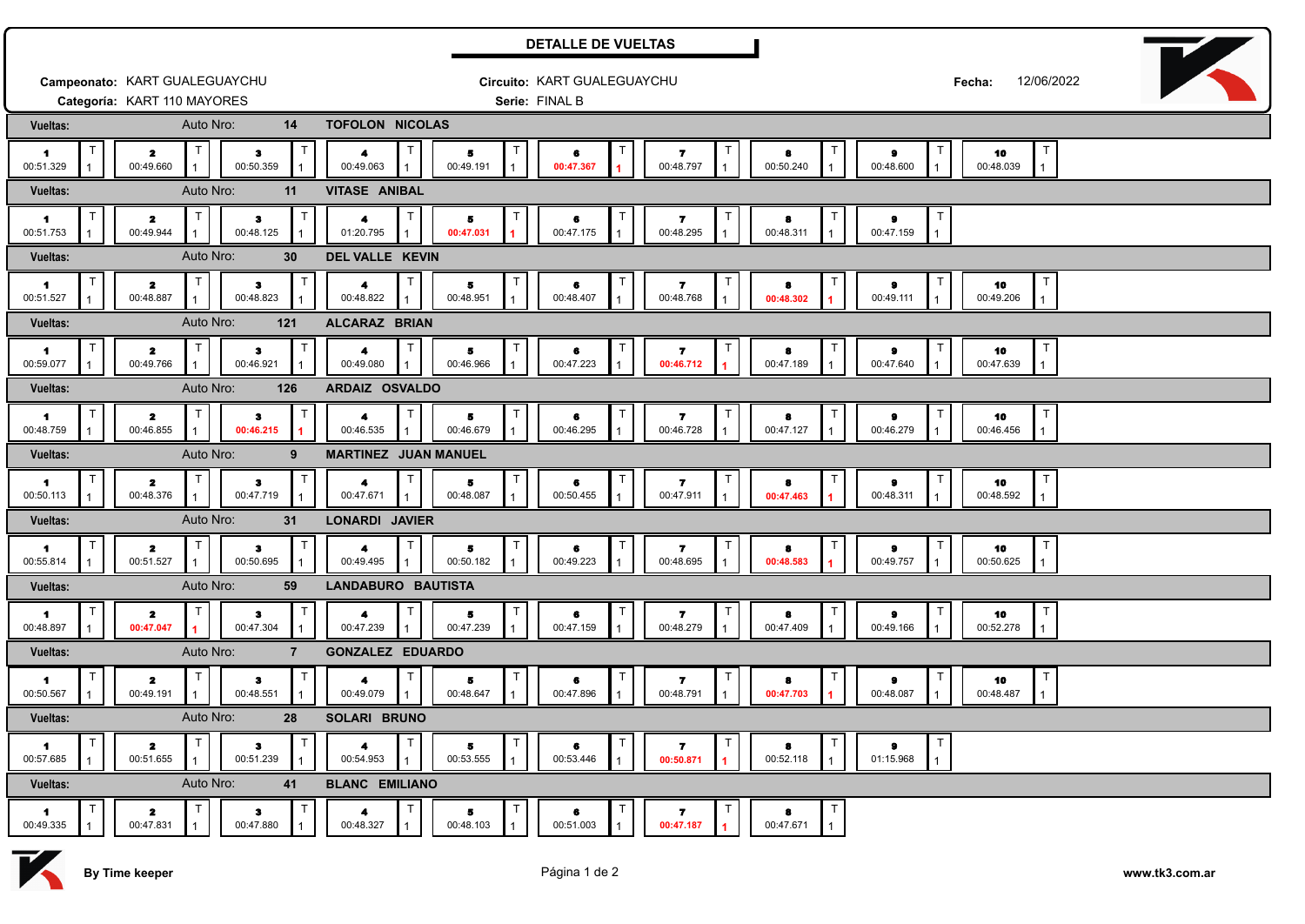|                                                             |                                      |                 |                             |                                | <b>DETALLE DE VUELTAS</b>     |                                |                               |                                                   |  |  |  |
|-------------------------------------------------------------|--------------------------------------|-----------------|-----------------------------|--------------------------------|-------------------------------|--------------------------------|-------------------------------|---------------------------------------------------|--|--|--|
|                                                             | Campeonato: KART GUALEGUAYCHU        |                 | Circuito: KART GUALEGUAYCHU |                                |                               |                                | 12/06/2022<br>Fecha:          |                                                   |  |  |  |
|                                                             | Categoría: KART 110 MAYORES          |                 | Serie: FINAL B              |                                |                               |                                |                               |                                                   |  |  |  |
| Vueltas:                                                    | Auto Nro:                            | 14              | TOFOLON NICOLAS             |                                |                               |                                |                               |                                                   |  |  |  |
| т<br>$\blacksquare$<br>00:51.329<br>$\mathbf{1}$            | $\mathbf{z}$<br>00:49.660            | з<br>00:50.359  | 4<br>00:49.063              | 5<br>00:49.191                 | T<br>6<br>00:47.367           | 7<br>00:48.797                 | 8<br>00:50.240                | 10<br>9<br>00:48.600<br>00:48.039<br>$\mathbf{1}$ |  |  |  |
| Auto Nro:<br>Vueltas:<br>11                                 |                                      |                 | <b>VITASE ANIBAL</b>        |                                |                               |                                |                               |                                                   |  |  |  |
| $\blacksquare$<br>00:51.753                                 | $\mathbf{z}$<br>00:49.944            | з<br>00:48.125  | 4<br>01:20.795              | 5<br>00:47.031                 | $\top$<br>6<br>00:47.175      | 7<br>00:48.295                 | 8<br>00:48.311                | 9<br>00:47.159                                    |  |  |  |
| Vueltas:                                                    | Auto Nro:                            | 30              | DEL VALLE KEVIN             |                                |                               |                                |                               |                                                   |  |  |  |
| 1<br>00:51.527                                              | $\mathbf{z}$<br>00:48.887            | з<br>00:48.823  | 4<br>00:48.822              | 5<br>00:48.951                 | $\top$<br>6<br>00:48.407      | 7<br>00:48.768                 | 8<br>00:48.302                | 9<br>10<br>00:49.111<br>00:49.206                 |  |  |  |
| <b>Vueltas:</b>                                             | Auto Nro:<br>121                     |                 |                             | ALCARAZ BRIAN                  |                               |                                |                               |                                                   |  |  |  |
| $\mathbf{1}$<br>00:59.077                                   | $\overline{\mathbf{z}}$<br>00:49.766 | з<br>00:46.921  | 4<br>00:49.080              | 5<br>00:46.966                 | 6<br>00:47.223                | 7<br>00:46.712                 | 8<br>00:47.189                | 10<br>9<br>00:47.640<br>00:47.639                 |  |  |  |
| Vueltas:                                                    | Auto Nro:                            | 126             | ARDAIZ OSVALDO              |                                |                               |                                |                               |                                                   |  |  |  |
| $\mathbf{1}$<br>00:48.759                                   | $\overline{\mathbf{z}}$<br>00:46.855 | з<br>00:46.215  | 4<br>00:46.535              | 5<br>00:46.679                 | Т<br>6<br>00:46.295           | $\mathbf{z}$<br>00:46.728      | 8<br>00:47.127                | 10<br>$\bullet$<br>00:46.279<br>00:46.456         |  |  |  |
| Vueltas:                                                    | Auto Nro:                            | 9               | <b>MARTINEZ JUAN MANUEL</b> |                                |                               |                                |                               |                                                   |  |  |  |
| -1<br>00:50.113                                             | $\mathbf{z}$<br>00:48.376            | 3<br>00:47.719  | 4<br>00:47.671              | 5<br>00:48.087<br>$\mathbf{1}$ | Т<br>6<br>00:50.455           | $\mathbf{z}$<br>00:47.911      | 8<br>00:47.463                | 10<br>9<br>00:48.311<br>00:48.592<br>$\mathbf{1}$ |  |  |  |
| Vueltas:                                                    | Auto Nro:                            | 31              | LONARDI JAVIER              |                                |                               |                                |                               |                                                   |  |  |  |
| $\blacksquare$<br>00:55.814                                 | $\mathbf{z}$<br>00:51.527            | з.<br>00:50.695 | 4<br>00:49.495              | 5.<br>00:50.182                | $\top$<br>6<br>00:49.223      | 7<br>00:48.695                 | $\top$<br>8<br>00:48.583      | 10<br>9<br>00:49.757<br>00:50.625<br>$\mathbf{1}$ |  |  |  |
| Auto Nro:<br><b>LANDABURO BAUTISTA</b><br>59<br>Vueltas:    |                                      |                 |                             |                                |                               |                                |                               |                                                   |  |  |  |
| -1<br>00:48.897<br>$\mathbf{1}$                             | $\mathbf{z}$<br>00:47.047            | з.<br>00:47.304 | 4<br>00:47.239              | 5<br>00:47.239<br>$\mathbf{1}$ | $\top$<br>6<br>00:47.159      | $\mathbf{z}$<br>00:48.279      | 8<br>00:47.409                | 9<br>10<br>$\mathbf{1}$<br>00:49.166<br>00:52.278 |  |  |  |
| Auto Nro:<br>GONZALEZ EDUARDO<br>Vueltas:<br>$\overline{7}$ |                                      |                 |                             |                                |                               |                                |                               |                                                   |  |  |  |
| т<br>-1<br>00:50.567                                        | 2<br>00:49.191                       | з<br>00:48.551  | 4<br>00:49.079              | T<br>Б<br>00:48.647            | $\top$<br>6<br>00:47.896      | T<br>7<br>00:48.791            | $\top$<br>8<br>00:47.703      | 9<br>10<br>00:48.087<br>00:48.487<br>$\mathbf{1}$ |  |  |  |
| Auto Nro:<br>Vueltas:<br>28<br>SOLARI BRUNO                 |                                      |                 |                             |                                |                               |                                |                               |                                                   |  |  |  |
| T<br>$\blacksquare$<br>00:57.685                            | $\mathbf{z}$<br>00:51.655            | з<br>00:51.239  | 4<br>00:54.953              | $\top$<br>5<br>00:53.555       | $\top$<br>6<br>00:53.446      | T<br>-7<br>00:50.871           | $\mathsf T$<br>8<br>00:52.118 | 9<br>01:15.968                                    |  |  |  |
| Auto Nro:<br><b>BLANC EMILIANO</b><br>Vueltas:<br>41        |                                      |                 |                             |                                |                               |                                |                               |                                                   |  |  |  |
| т<br>$\blacksquare$<br>00:49.335                            | $\mathbf{z}$<br>00:47.831            | з<br>00:47.880  | 4<br>00:48.327              | Τ<br>5<br>00:48.103            | $\mathsf T$<br>6<br>00:51.003 | T<br>$\mathbf{7}$<br>00:47.187 | $\mathsf T$<br>8<br>00:47.671 |                                                   |  |  |  |